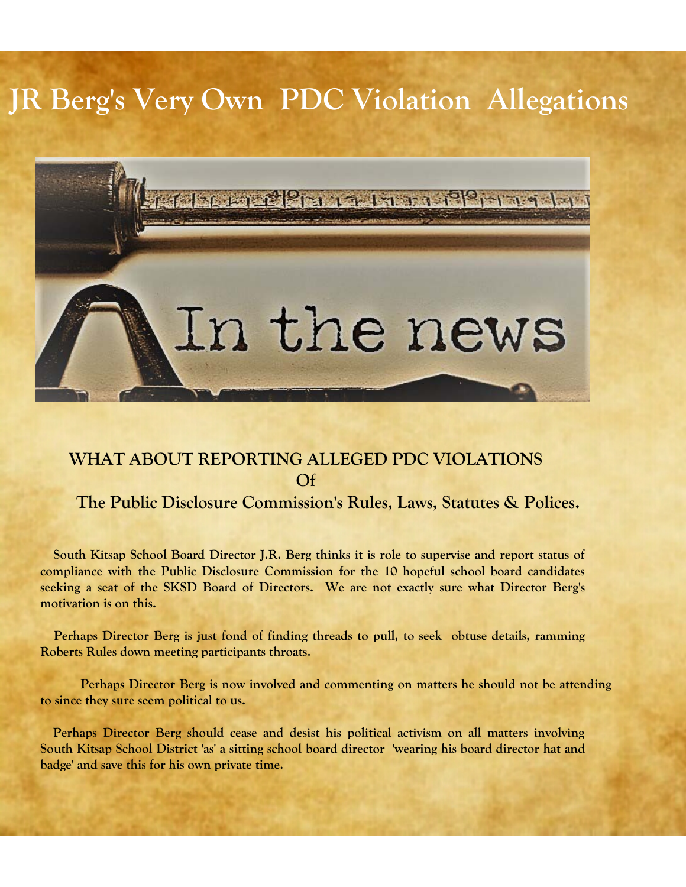# **JR Berg's Very Own PDC Violation Allegations**



## **WHAT ABOUT REPORTING ALLEGED PDC VIOLATIONS Of**

## **The Public Disclosure Commission's Rules, Laws, Statutes & Polices.**

 **South Kitsap School Board Director J.R. Berg thinks it is role to supervise and report status of compliance with the Public Disclosure Commission for the 10 hopeful school board candidates seeking a seat of the SKSD Board of Directors. We are not exactly sure what Director Berg's motivation is on this.** 

 **Perhaps Director Berg is just fond of finding threads to pull, to seek obtuse details, ramming Roberts Rules down meeting participants throats.** 

 **Perhaps Director Berg is now involved and commenting on matters he should not be attending to since they sure seem political to us.** 

 **Perhaps Director Berg should cease and desist his political activism on all matters involving South Kitsap School District 'as' a sitting school board director 'wearing his board director hat and badge' and save this for his own private time.**